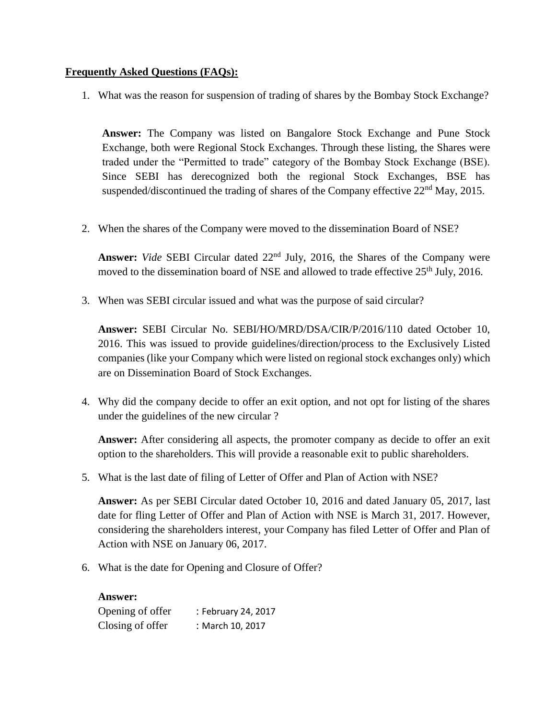## **Frequently Asked Questions (FAQs):**

1. What was the reason for suspension of trading of shares by the Bombay Stock Exchange?

**Answer:** The Company was listed on Bangalore Stock Exchange and Pune Stock Exchange, both were Regional Stock Exchanges. Through these listing, the Shares were traded under the "Permitted to trade" category of the Bombay Stock Exchange (BSE). Since SEBI has derecognized both the regional Stock Exchanges, BSE has suspended/discontinued the trading of shares of the Company effective  $22<sup>nd</sup>$  May, 2015.

2. When the shares of the Company were moved to the dissemination Board of NSE?

**Answer:** *Vide* SEBI Circular dated 22<sup>nd</sup> July, 2016, the Shares of the Company were moved to the dissemination board of NSE and allowed to trade effective 25<sup>th</sup> July, 2016.

3. When was SEBI circular issued and what was the purpose of said circular?

**Answer:** SEBI Circular No. SEBI/HO/MRD/DSA/CIR/P/2016/110 dated October 10, 2016. This was issued to provide guidelines/direction/process to the Exclusively Listed companies (like your Company which were listed on regional stock exchanges only) which are on Dissemination Board of Stock Exchanges.

4. Why did the company decide to offer an exit option, and not opt for listing of the shares under the guidelines of the new circular ?

**Answer:** After considering all aspects, the promoter company as decide to offer an exit option to the shareholders. This will provide a reasonable exit to public shareholders.

5. What is the last date of filing of Letter of Offer and Plan of Action with NSE?

**Answer:** As per SEBI Circular dated October 10, 2016 and dated January 05, 2017, last date for fling Letter of Offer and Plan of Action with NSE is March 31, 2017. However, considering the shareholders interest, your Company has filed Letter of Offer and Plan of Action with NSE on January 06, 2017.

6. What is the date for Opening and Closure of Offer?

**Answer:** Opening of offer : February 24, 2017 Closing of offer : March 10, 2017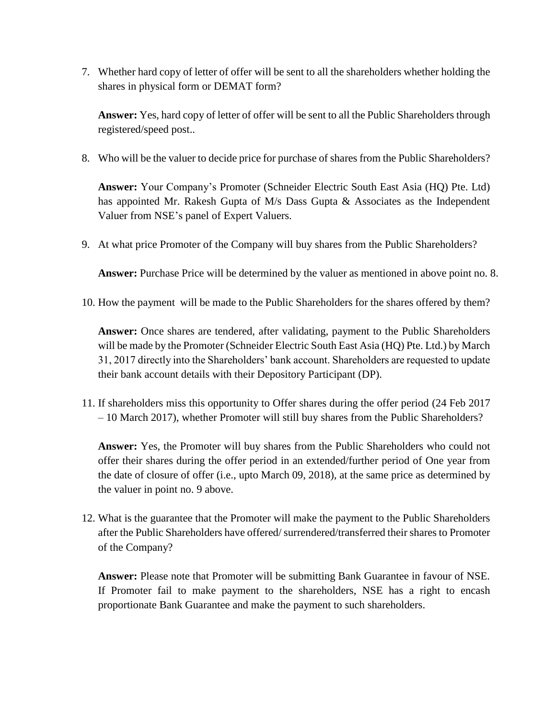7. Whether hard copy of letter of offer will be sent to all the shareholders whether holding the shares in physical form or DEMAT form?

**Answer:** Yes, hard copy of letter of offer will be sent to all the Public Shareholders through registered/speed post..

8. Who will be the valuer to decide price for purchase of shares from the Public Shareholders?

**Answer:** Your Company's Promoter (Schneider Electric South East Asia (HQ) Pte. Ltd) has appointed Mr. Rakesh Gupta of  $M/s$  Dass Gupta & Associates as the Independent Valuer from NSE's panel of Expert Valuers.

9. At what price Promoter of the Company will buy shares from the Public Shareholders?

**Answer:** Purchase Price will be determined by the valuer as mentioned in above point no. 8.

10. How the payment will be made to the Public Shareholders for the shares offered by them?

**Answer:** Once shares are tendered, after validating, payment to the Public Shareholders will be made by the Promoter (Schneider Electric South East Asia (HQ) Pte. Ltd.) by March 31, 2017 directly into the Shareholders' bank account. Shareholders are requested to update their bank account details with their Depository Participant (DP).

11. If shareholders miss this opportunity to Offer shares during the offer period (24 Feb 2017 – 10 March 2017), whether Promoter will still buy shares from the Public Shareholders?

**Answer:** Yes, the Promoter will buy shares from the Public Shareholders who could not offer their shares during the offer period in an extended/further period of One year from the date of closure of offer (i.e., upto March 09, 2018), at the same price as determined by the valuer in point no. 9 above.

12. What is the guarantee that the Promoter will make the payment to the Public Shareholders after the Public Shareholders have offered/ surrendered/transferred their shares to Promoter of the Company?

**Answer:** Please note that Promoter will be submitting Bank Guarantee in favour of NSE. If Promoter fail to make payment to the shareholders, NSE has a right to encash proportionate Bank Guarantee and make the payment to such shareholders.